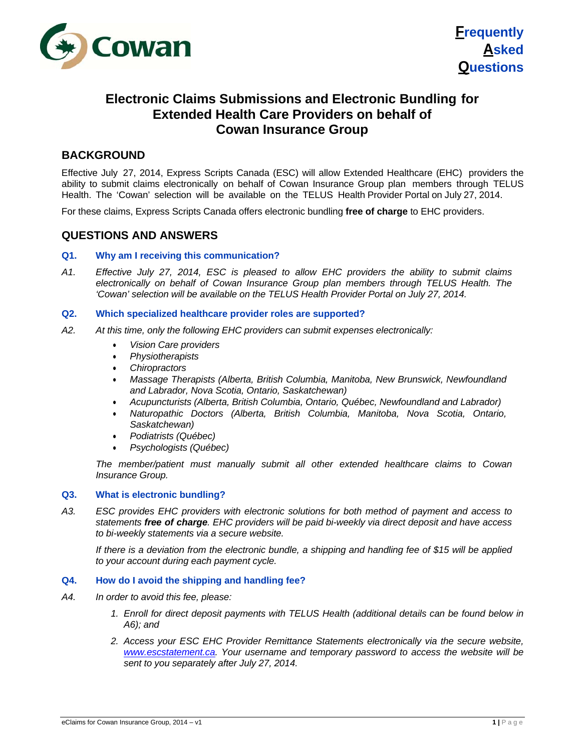



# **Electronic Claims Submissions and Electronic Bundling for Extended Health Care Providers on behalf of Cowan Insurance Group**

# **BACKGROUND**

Effective July 27, 2014, Express Scripts Canada (ESC) will allow Extended Healthcare (EHC) providers the ability to submit claims electronically on behalf of Cowan Insurance Group plan members through TELUS Health. The 'Cowan' selection will be available on the TELUS Health Provider Portal on July 27, 2014.

For these claims, Express Scripts Canada offers electronic bundling **free of charge** to EHC providers.

## **QUESTIONS AND ANSWERS**

### **Q1. Why am I receiving this communication?**

*A1. Effective July 27, 2014, ESC is pleased to allow EHC providers the ability to submit claims electronically on behalf of Cowan Insurance Group plan members through TELUS Health. The 'Cowan' selection will be available on the TELUS Health Provider Portal on July 27, 2014.*

### **Q2. Which specialized healthcare provider roles are supported?**

- *A2. At this time, only the following EHC providers can submit expenses electronically:*
	- *Vision Care providers*
	- *Physiotherapists*
	- *Chiropractors*
	- *Massage Therapists (Alberta, British Columbia, Manitoba, New Brunswick, Newfoundland and Labrador, Nova Scotia, Ontario, Saskatchewan)*
	- *Acupuncturists (Alberta, British Columbia, Ontario, Québec, Newfoundland and Labrador)*
	- *Naturopathic Doctors (Alberta, British Columbia, Manitoba, Nova Scotia, Ontario, Saskatchewan)*
	- *Podiatrists (Québec)*
	- *Psychologists (Québec)*

 *The member/patient must manually submit all other extended healthcare claims to Cowan Insurance Group.*

#### **Q3. What is electronic bundling?**

*A3. ESC provides EHC providers with electronic solutions for both method of payment and access to statements free of charge. EHC providers will be paid bi-weekly via direct deposit and have access to bi-weekly statements via a secure website.*

 *If there is a deviation from the electronic bundle, a shipping and handling fee of \$15 will be applied to your account during each payment cycle.*

### **Q4. How do I avoid the shipping and handling fee?**

- *A4. In order to avoid this fee, please:* 
	- *1. Enroll for direct deposit payments with TELUS Health (additional details can be found below in A6); and*
	- *2. Access your ESC EHC Provider Remittance Statements electronically via the secure website, www.escstatement.ca. Your username and temporary password to access the website will be sent to you separately after July 27, 2014.*